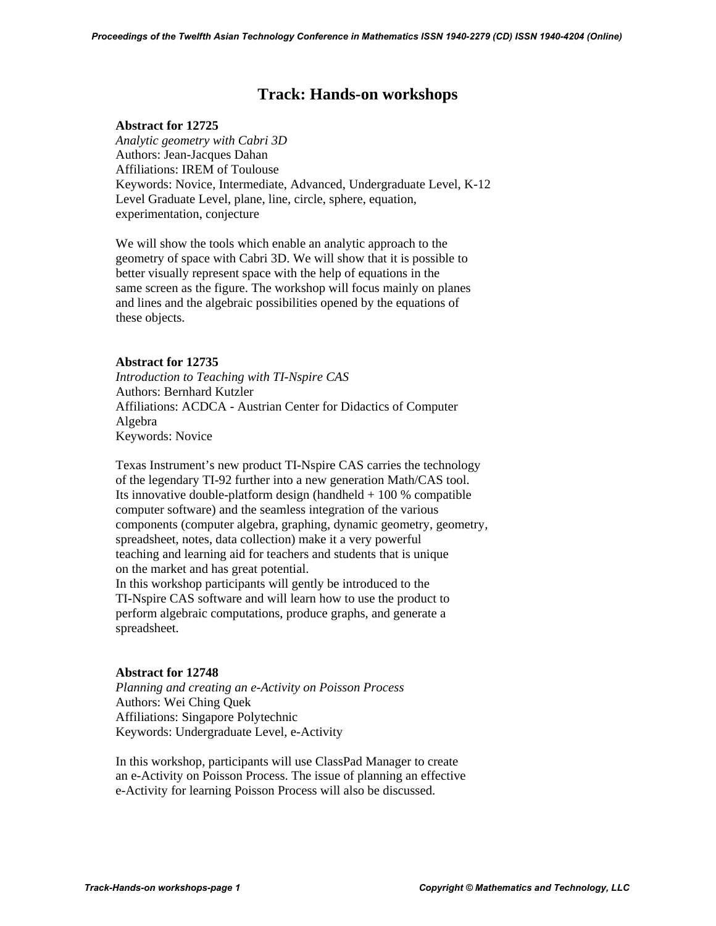# **Track: Hands-on workshops**

## **Abstract for 12725**

 *Analytic geometry with Cabri 3D*  Authors: Jean-Jacques Dahan Affiliations: IREM of Toulouse Keywords: Novice, Intermediate, Advanced, Undergraduate Level, K-12 Level Graduate Level, plane, line, circle, sphere, equation, experimentation, conjecture

 We will show the tools which enable an analytic approach to the geometry of space with Cabri 3D. We will show that it is possible to better visually represent space with the help of equations in the same screen as the figure. The workshop will focus mainly on planes and lines and the algebraic possibilities opened by the equations of these objects.

# **Abstract for 12735**

 *Introduction to Teaching with TI-Nspire CAS*  Authors: Bernhard Kutzler Affiliations: ACDCA - Austrian Center for Didactics of Computer Algebra Keywords: Novice

 Texas Instrument's new product TI-Nspire CAS carries the technology of the legendary TI-92 further into a new generation Math/CAS tool. Its innovative double-platform design (handheld  $+100\%$  compatible computer software) and the seamless integration of the various components (computer algebra, graphing, dynamic geometry, geometry, spreadsheet, notes, data collection) make it a very powerful teaching and learning aid for teachers and students that is unique on the market and has great potential. In this workshop participants will gently be introduced to the

 TI-Nspire CAS software and will learn how to use the product to perform algebraic computations, produce graphs, and generate a spreadsheet.

# **Abstract for 12748**

 *Planning and creating an e-Activity on Poisson Process*  Authors: Wei Ching Quek Affiliations: Singapore Polytechnic Keywords: Undergraduate Level, e-Activity

 In this workshop, participants will use ClassPad Manager to create an e-Activity on Poisson Process. The issue of planning an effective e-Activity for learning Poisson Process will also be discussed.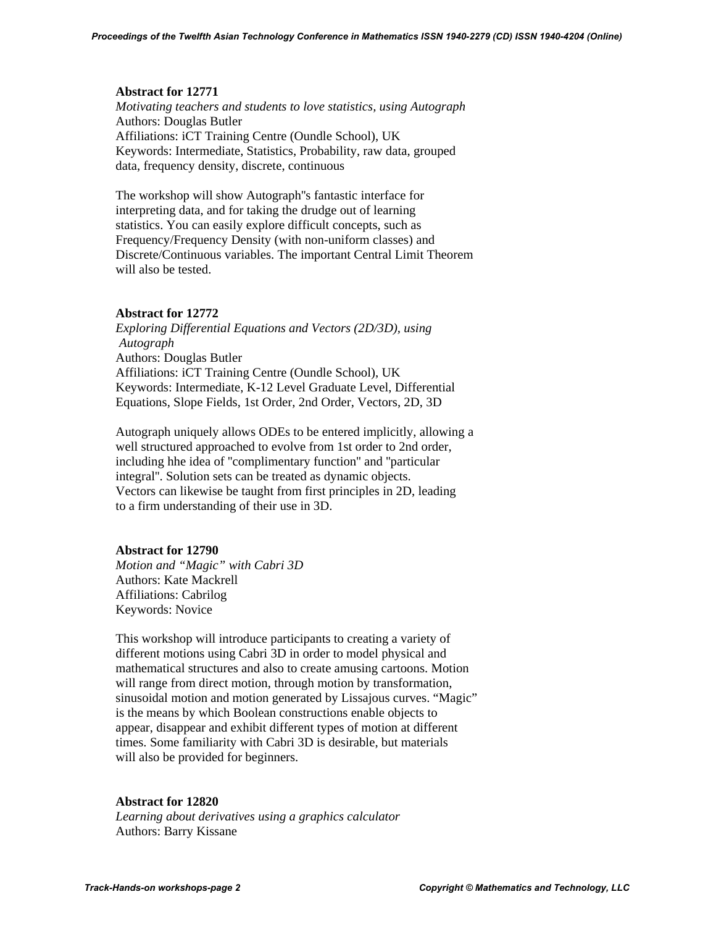#### **Abstract for 12771**

 *Motivating teachers and students to love statistics, using Autograph*  Authors: Douglas Butler Affiliations: iCT Training Centre (Oundle School), UK Keywords: Intermediate, Statistics, Probability, raw data, grouped data, frequency density, discrete, continuous

 The workshop will show Autograph''s fantastic interface for interpreting data, and for taking the drudge out of learning statistics. You can easily explore difficult concepts, such as Frequency/Frequency Density (with non-uniform classes) and Discrete/Continuous variables. The important Central Limit Theorem will also be tested.

## **Abstract for 12772**

 *Exploring Differential Equations and Vectors (2D/3D), using Autograph*  Authors: Douglas Butler Affiliations: iCT Training Centre (Oundle School), UK Keywords: Intermediate, K-12 Level Graduate Level, Differential Equations, Slope Fields, 1st Order, 2nd Order, Vectors, 2D, 3D

 Autograph uniquely allows ODEs to be entered implicitly, allowing a well structured approached to evolve from 1st order to 2nd order, including hhe idea of ''complimentary function'' and ''particular integral''. Solution sets can be treated as dynamic objects. Vectors can likewise be taught from first principles in 2D, leading to a firm understanding of their use in 3D.

## **Abstract for 12790**

 *Motion and "Magic" with Cabri 3D*  Authors: Kate Mackrell Affiliations: Cabrilog Keywords: Novice

 This workshop will introduce participants to creating a variety of different motions using Cabri 3D in order to model physical and mathematical structures and also to create amusing cartoons. Motion will range from direct motion, through motion by transformation, sinusoidal motion and motion generated by Lissajous curves. "Magic" is the means by which Boolean constructions enable objects to appear, disappear and exhibit different types of motion at different times. Some familiarity with Cabri 3D is desirable, but materials will also be provided for beginners.

## **Abstract for 12820**

 *Learning about derivatives using a graphics calculator*  Authors: Barry Kissane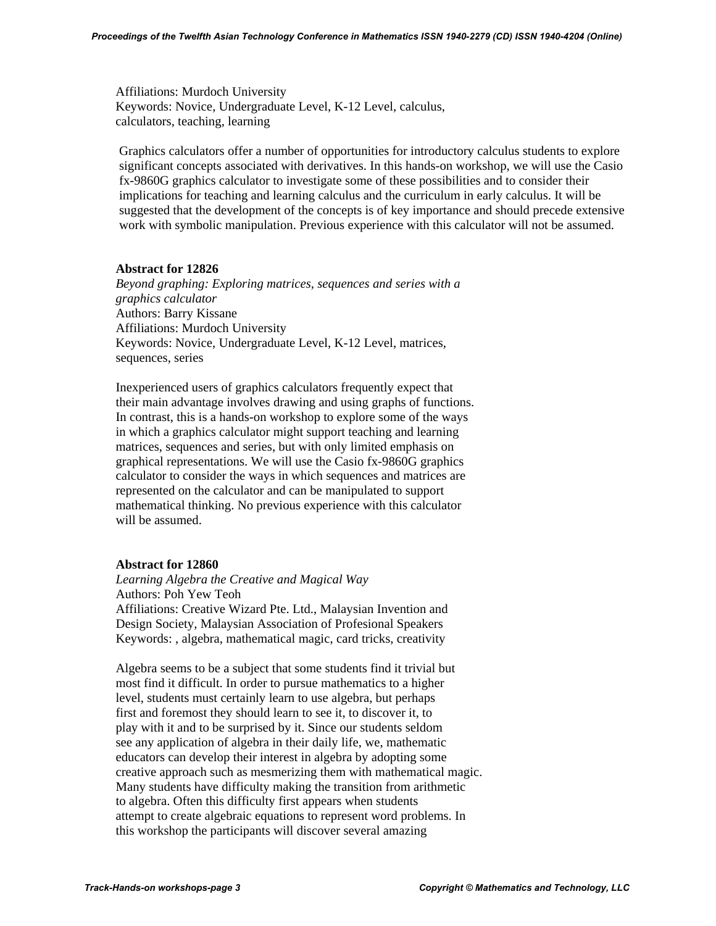Affiliations: Murdoch University Keywords: Novice, Undergraduate Level, K-12 Level, calculus, calculators, teaching, learning

Graphics calculators offer a number of opportunities for introductory calculus students to explore significant concepts associated with derivatives. In this hands-on workshop, we will use the Casio fx-9860G graphics calculator to investigate some of these possibilities and to consider their implications for teaching and learning calculus and the curriculum in early calculus. It will be suggested that the development of the concepts is of key importance and should precede extensive work with symbolic manipulation. Previous experience with this calculator will not be assumed.

## **Abstract for 12826**

 *Beyond graphing: Exploring matrices, sequences and series with a graphics calculator*  Authors: Barry Kissane Affiliations: Murdoch University Keywords: Novice, Undergraduate Level, K-12 Level, matrices, sequences, series

 Inexperienced users of graphics calculators frequently expect that their main advantage involves drawing and using graphs of functions. In contrast, this is a hands-on workshop to explore some of the ways in which a graphics calculator might support teaching and learning matrices, sequences and series, but with only limited emphasis on graphical representations. We will use the Casio fx-9860G graphics calculator to consider the ways in which sequences and matrices are represented on the calculator and can be manipulated to support mathematical thinking. No previous experience with this calculator will be assumed.

## **Abstract for 12860**

 *Learning Algebra the Creative and Magical Way*  Authors: Poh Yew Teoh Affiliations: Creative Wizard Pte. Ltd., Malaysian Invention and Design Society, Malaysian Association of Profesional Speakers Keywords: , algebra, mathematical magic, card tricks, creativity

 Algebra seems to be a subject that some students find it trivial but most find it difficult. In order to pursue mathematics to a higher level, students must certainly learn to use algebra, but perhaps first and foremost they should learn to see it, to discover it, to play with it and to be surprised by it. Since our students seldom see any application of algebra in their daily life, we, mathematic educators can develop their interest in algebra by adopting some creative approach such as mesmerizing them with mathematical magic. Many students have difficulty making the transition from arithmetic to algebra. Often this difficulty first appears when students attempt to create algebraic equations to represent word problems. In this workshop the participants will discover several amazing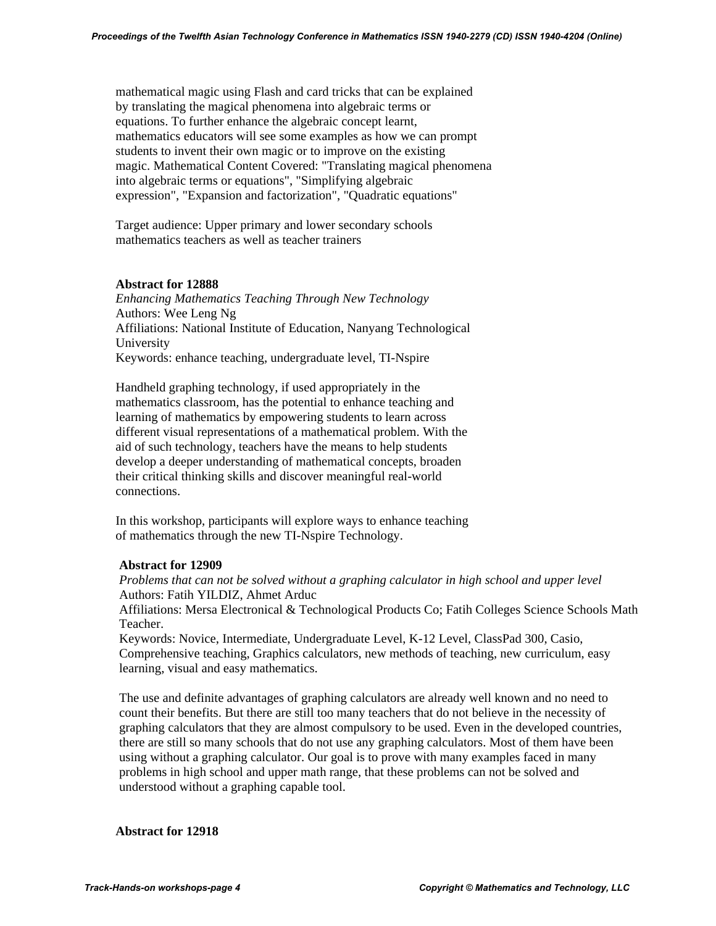mathematical magic using Flash and card tricks that can be explained by translating the magical phenomena into algebraic terms or equations. To further enhance the algebraic concept learnt, mathematics educators will see some examples as how we can prompt students to invent their own magic or to improve on the existing magic. Mathematical Content Covered: "Translating magical phenomena into algebraic terms or equations", "Simplifying algebraic expression", "Expansion and factorization", "Quadratic equations"

 Target audience: Upper primary and lower secondary schools mathematics teachers as well as teacher trainers

#### **Abstract for 12888**

 *Enhancing Mathematics Teaching Through New Technology*  Authors: Wee Leng Ng Affiliations: National Institute of Education, Nanyang Technological University Keywords: enhance teaching, undergraduate level, TI-Nspire

 Handheld graphing technology, if used appropriately in the mathematics classroom, has the potential to enhance teaching and learning of mathematics by empowering students to learn across different visual representations of a mathematical problem. With the aid of such technology, teachers have the means to help students develop a deeper understanding of mathematical concepts, broaden their critical thinking skills and discover meaningful real-world connections.

 In this workshop, participants will explore ways to enhance teaching of mathematics through the new TI-Nspire Technology.

## **Abstract for 12909**

*Problems that can not be solved without a graphing calculator in high school and upper level*  Authors: Fatih YILDIZ, Ahmet Arduc

Affiliations: Mersa Electronical & Technological Products Co; Fatih Colleges Science Schools Math Teacher.

Keywords: Novice, Intermediate, Undergraduate Level, K-12 Level, ClassPad 300, Casio, Comprehensive teaching, Graphics calculators, new methods of teaching, new curriculum, easy learning, visual and easy mathematics.

The use and definite advantages of graphing calculators are already well known and no need to count their benefits. But there are still too many teachers that do not believe in the necessity of graphing calculators that they are almost compulsory to be used. Even in the developed countries, there are still so many schools that do not use any graphing calculators. Most of them have been using without a graphing calculator. Our goal is to prove with many examples faced in many problems in high school and upper math range, that these problems can not be solved and understood without a graphing capable tool.

#### **Abstract for 12918**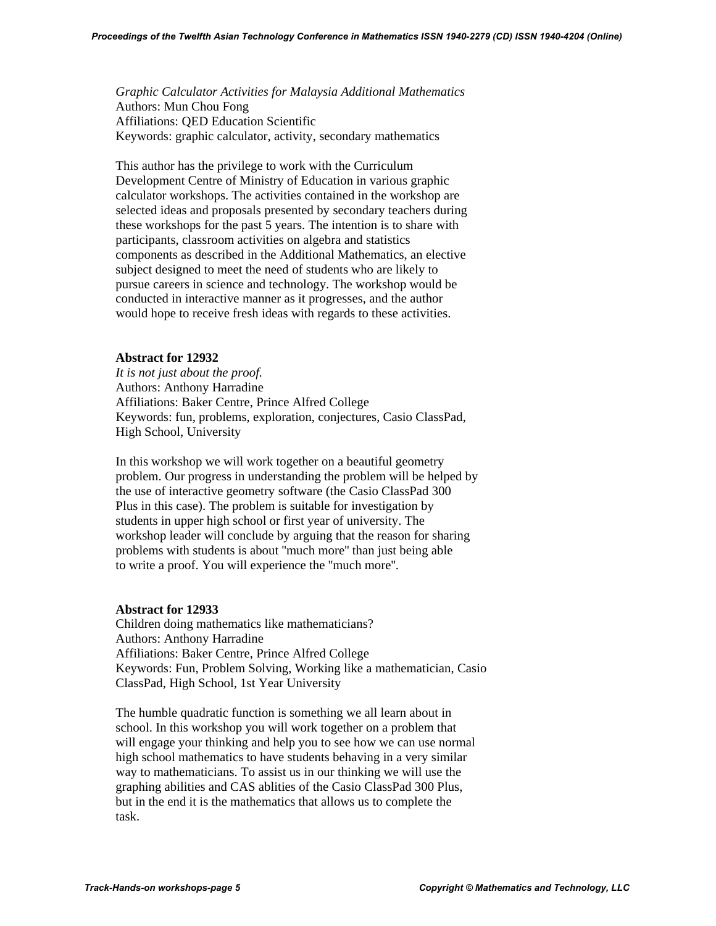*Graphic Calculator Activities for Malaysia Additional Mathematics*  Authors: Mun Chou Fong Affiliations: QED Education Scientific Keywords: graphic calculator, activity, secondary mathematics

 This author has the privilege to work with the Curriculum Development Centre of Ministry of Education in various graphic calculator workshops. The activities contained in the workshop are selected ideas and proposals presented by secondary teachers during these workshops for the past 5 years. The intention is to share with participants, classroom activities on algebra and statistics components as described in the Additional Mathematics, an elective subject designed to meet the need of students who are likely to pursue careers in science and technology. The workshop would be conducted in interactive manner as it progresses, and the author would hope to receive fresh ideas with regards to these activities.

## **Abstract for 12932**

 *It is not just about the proof.*  Authors: Anthony Harradine Affiliations: Baker Centre, Prince Alfred College Keywords: fun, problems, exploration, conjectures, Casio ClassPad, High School, University

 In this workshop we will work together on a beautiful geometry problem. Our progress in understanding the problem will be helped by the use of interactive geometry software (the Casio ClassPad 300 Plus in this case). The problem is suitable for investigation by students in upper high school or first year of university. The workshop leader will conclude by arguing that the reason for sharing problems with students is about ''much more'' than just being able to write a proof. You will experience the ''much more''.

## **Abstract for 12933**

 Children doing mathematics like mathematicians? Authors: Anthony Harradine Affiliations: Baker Centre, Prince Alfred College Keywords: Fun, Problem Solving, Working like a mathematician, Casio ClassPad, High School, 1st Year University

 The humble quadratic function is something we all learn about in school. In this workshop you will work together on a problem that will engage your thinking and help you to see how we can use normal high school mathematics to have students behaving in a very similar way to mathematicians. To assist us in our thinking we will use the graphing abilities and CAS ablities of the Casio ClassPad 300 Plus, but in the end it is the mathematics that allows us to complete the task.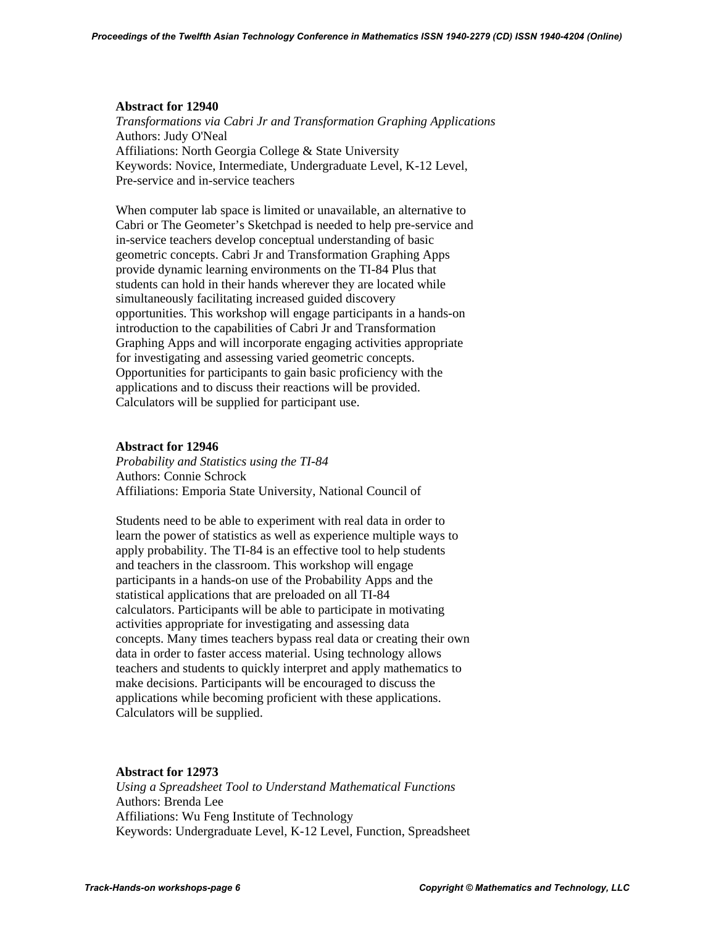#### **Abstract for 12940**

 *Transformations via Cabri Jr and Transformation Graphing Applications*  Authors: Judy O'Neal Affiliations: North Georgia College & State University Keywords: Novice, Intermediate, Undergraduate Level, K-12 Level, Pre-service and in-service teachers

 When computer lab space is limited or unavailable, an alternative to Cabri or The Geometer's Sketchpad is needed to help pre-service and in-service teachers develop conceptual understanding of basic geometric concepts. Cabri Jr and Transformation Graphing Apps provide dynamic learning environments on the TI-84 Plus that students can hold in their hands wherever they are located while simultaneously facilitating increased guided discovery opportunities. This workshop will engage participants in a hands-on introduction to the capabilities of Cabri Jr and Transformation Graphing Apps and will incorporate engaging activities appropriate for investigating and assessing varied geometric concepts. Opportunities for participants to gain basic proficiency with the applications and to discuss their reactions will be provided. Calculators will be supplied for participant use.

#### **Abstract for 12946**

 *Probability and Statistics using the TI-84*  Authors: Connie Schrock Affiliations: Emporia State University, National Council of

 Students need to be able to experiment with real data in order to learn the power of statistics as well as experience multiple ways to apply probability. The TI-84 is an effective tool to help students and teachers in the classroom. This workshop will engage participants in a hands-on use of the Probability Apps and the statistical applications that are preloaded on all TI-84 calculators. Participants will be able to participate in motivating activities appropriate for investigating and assessing data concepts. Many times teachers bypass real data or creating their own data in order to faster access material. Using technology allows teachers and students to quickly interpret and apply mathematics to make decisions. Participants will be encouraged to discuss the applications while becoming proficient with these applications. Calculators will be supplied.

#### **Abstract for 12973**

 *Using a Spreadsheet Tool to Understand Mathematical Functions*  Authors: Brenda Lee Affiliations: Wu Feng Institute of Technology Keywords: Undergraduate Level, K-12 Level, Function, Spreadsheet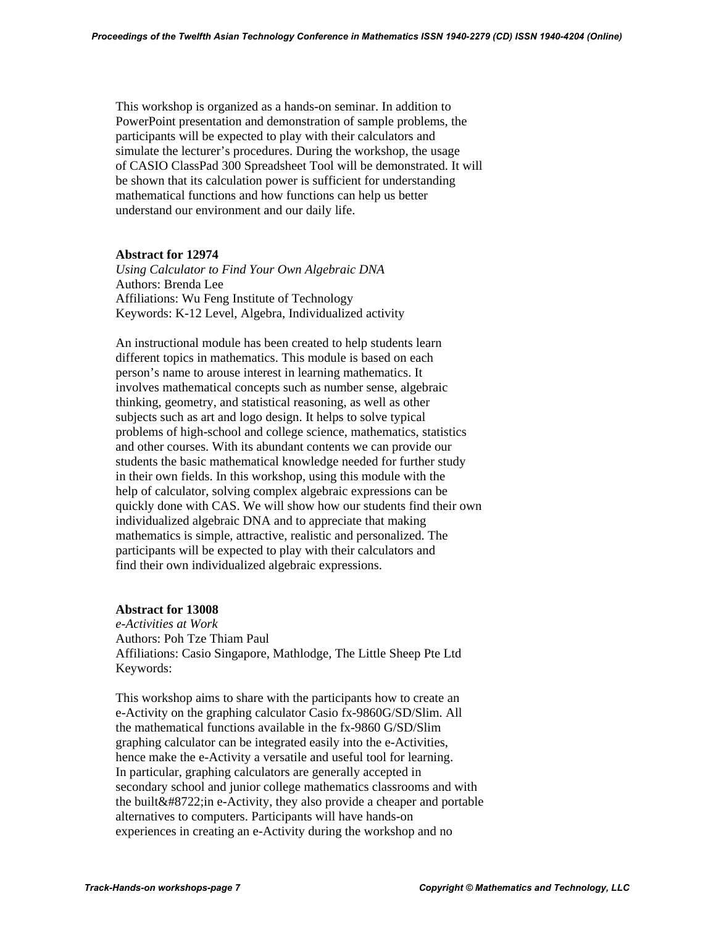This workshop is organized as a hands-on seminar. In addition to PowerPoint presentation and demonstration of sample problems, the participants will be expected to play with their calculators and simulate the lecturer's procedures. During the workshop, the usage of CASIO ClassPad 300 Spreadsheet Tool will be demonstrated. It will be shown that its calculation power is sufficient for understanding mathematical functions and how functions can help us better understand our environment and our daily life.

## **Abstract for 12974**

 *Using Calculator to Find Your Own Algebraic DNA*  Authors: Brenda Lee Affiliations: Wu Feng Institute of Technology Keywords: K-12 Level, Algebra, Individualized activity

 An instructional module has been created to help students learn different topics in mathematics. This module is based on each person's name to arouse interest in learning mathematics. It involves mathematical concepts such as number sense, algebraic thinking, geometry, and statistical reasoning, as well as other subjects such as art and logo design. It helps to solve typical problems of high-school and college science, mathematics, statistics and other courses. With its abundant contents we can provide our students the basic mathematical knowledge needed for further study in their own fields. In this workshop, using this module with the help of calculator, solving complex algebraic expressions can be quickly done with CAS. We will show how our students find their own individualized algebraic DNA and to appreciate that making mathematics is simple, attractive, realistic and personalized. The participants will be expected to play with their calculators and find their own individualized algebraic expressions.

## **Abstract for 13008**

 *e-Activities at Work*  Authors: Poh Tze Thiam Paul Affiliations: Casio Singapore, Mathlodge, The Little Sheep Pte Ltd Keywords:

 This workshop aims to share with the participants how to create an e-Activity on the graphing calculator Casio fx-9860G/SD/Slim. All the mathematical functions available in the fx-9860 G/SD/Slim graphing calculator can be integrated easily into the e-Activities, hence make the e-Activity a versatile and useful tool for learning. In particular, graphing calculators are generally accepted in secondary school and junior college mathematics classrooms and with the built− in e-Activity, they also provide a cheaper and portable alternatives to computers. Participants will have hands-on experiences in creating an e-Activity during the workshop and no